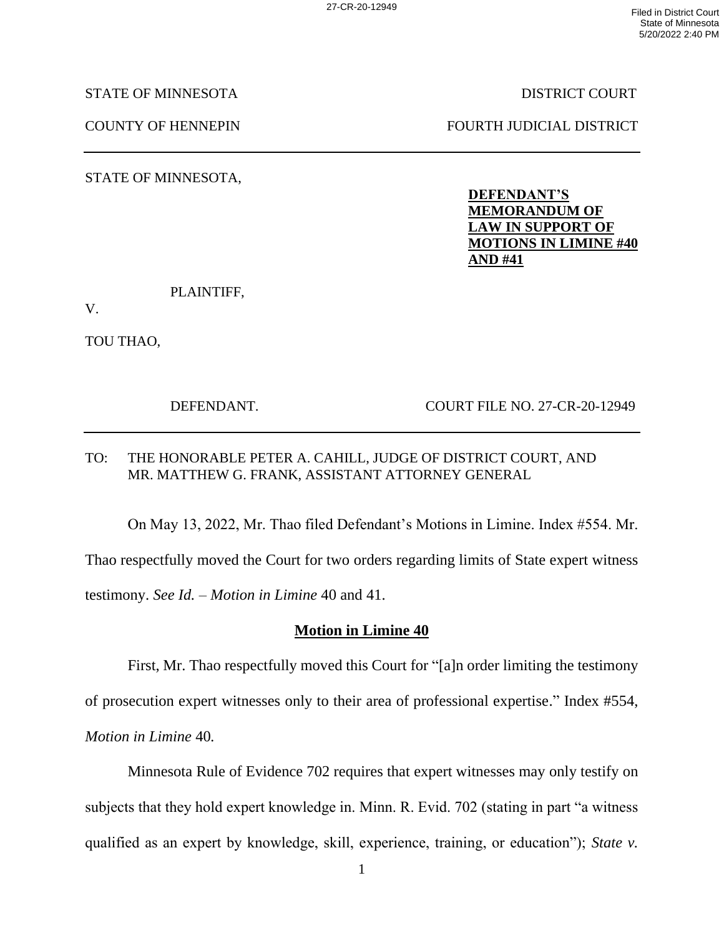STATE OF MINNESOTA DISTRICT COURT

COUNTY OF HENNEPIN FOURTH JUDICIAL DISTRICT

STATE OF MINNESOTA,

**DEFENDANT'S MEMORANDUM OF LAW IN SUPPORT OF MOTIONS IN LIMINE #40 AND #41**

PLAINTIFF,

V.

TOU THAO,

DEFENDANT. COURT FILE NO. 27-CR-20-12949

## TO: THE HONORABLE PETER A. CAHILL, JUDGE OF DISTRICT COURT, AND MR. MATTHEW G. FRANK, ASSISTANT ATTORNEY GENERAL

On May 13, 2022, Mr. Thao filed Defendant's Motions in Limine. Index #554. Mr. Thao respectfully moved the Court for two orders regarding limits of State expert witness testimony. *See Id.* – *Motion in Limine* 40 and 41.

## **Motion in Limine 40**

First, Mr. Thao respectfully moved this Court for "[a]n order limiting the testimony of prosecution expert witnesses only to their area of professional expertise." Index #554, *Motion in Limine* 40*.* 

Minnesota Rule of Evidence 702 requires that expert witnesses may only testify on subjects that they hold expert knowledge in. Minn. R. Evid. 702 (stating in part "a witness qualified as an expert by knowledge, skill, experience, training, or education"); *State v.*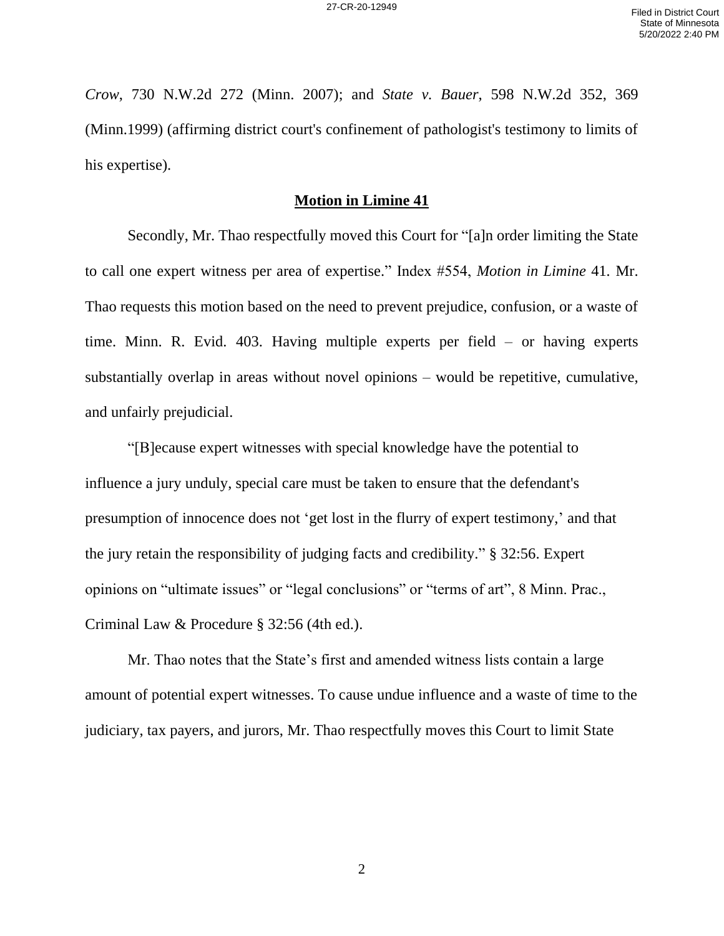*Crow*, 730 N.W.2d 272 (Minn. 2007); and *State v. Bauer*, 598 N.W.2d 352, 369 (Minn.1999) (affirming district court's confinement of pathologist's testimony to limits of his expertise).

## **Motion in Limine 41**

Secondly, Mr. Thao respectfully moved this Court for "[a]n order limiting the State to call one expert witness per area of expertise." Index #554, *Motion in Limine* 41*.* Mr. Thao requests this motion based on the need to prevent prejudice, confusion, or a waste of time. Minn. R. Evid. 403. Having multiple experts per field – or having experts substantially overlap in areas without novel opinions – would be repetitive, cumulative, and unfairly prejudicial.

"[B]ecause expert witnesses with special knowledge have the potential to influence a jury unduly, special care must be taken to ensure that the defendant's presumption of innocence does not 'get lost in the flurry of expert testimony,' and that the jury retain the responsibility of judging facts and credibility." § 32:56. Expert opinions on "ultimate issues" or "legal conclusions" or "terms of art", 8 Minn. Prac., Criminal Law & Procedure § 32:56 (4th ed.).

Mr. Thao notes that the State's first and amended witness lists contain a large amount of potential expert witnesses. To cause undue influence and a waste of time to the judiciary, tax payers, and jurors, Mr. Thao respectfully moves this Court to limit State

2